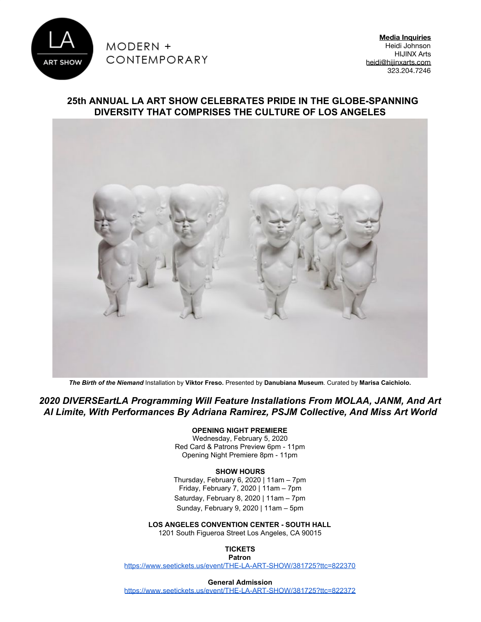

**Media Inquiries** Heidi Johnson HIJINX Arts [heidi@hijinxarts.com](mailto:heidi@thinkhijinx.com) 323.204.7246

## **25th ANNUAL LA ART SHOW CELEBRATES PRIDE IN THE GLOBE-SPANNING DIVERSITY THAT COMPRISES THE CULTURE OF LOS ANGELES**



*The Birth of the Niemand* Installation by **Viktor Freso.** Presented by **Danubiana Museum**. Curated by **Marisa Caichiolo.**

*2020 DIVERSEartLA Programming Will Feature Installations From MOLAA, JANM, And Art Al Limite, With Performances By Adriana Ramirez, PSJM Collective, And Miss Art World*

#### **OPENING NIGHT PREMIERE**

Wednesday, February 5, 2020 Red Card & Patrons Preview 6pm - 11pm Opening Night Premiere 8pm - 11pm

#### **SHOW HOURS**

Thursday, February 6, 2020 | 11am – 7pm Friday, February 7, 2020 | 11am – 7pm Saturday, February 8, 2020 | 11am – 7pm Sunday, February 9, 2020 | 11am – 5pm

**LOS ANGELES CONVENTION CENTER - SOUTH HALL**

1201 South Figueroa Street Los Angeles, CA 90015

**TICKETS Patron**

<https://www.seetickets.us/event/THE-LA-ART-SHOW/381725?ttc=822370>

**General Admission**

<https://www.seetickets.us/event/THE-LA-ART-SHOW/381725?ttc=822372>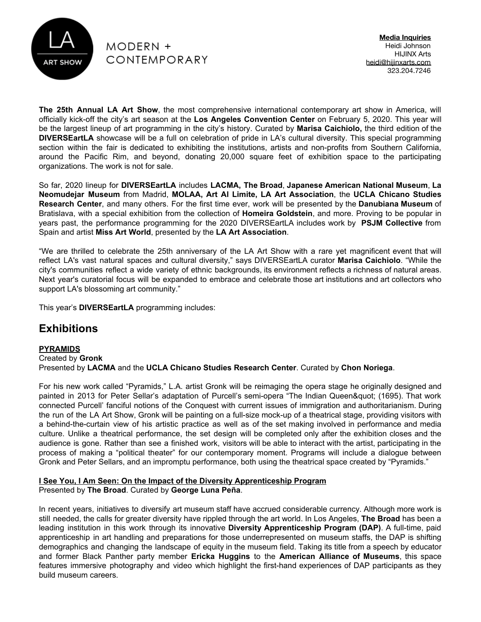

**Media Inquiries** Heidi Johnson HIJINX Arts [heidi@hijinxarts.com](mailto:heidi@thinkhijinx.com) 323.204.7246

**The 25th Annual LA Art Show**, the most comprehensive international contemporary art show in America, will officially kick-off the city's art season at the **Los Angeles Convention Center** on February 5, 2020. This year will be the largest lineup of art programming in the city's history. Curated by **Marisa Caichiolo,** the third edition of the **DIVERSEartLA** showcase will be a full on celebration of pride in LA's cultural diversity. This special programming section within the fair is dedicated to exhibiting the institutions, artists and non-profits from Southern California, around the Pacific Rim, and beyond, donating 20,000 square feet of exhibition space to the participating organizations. The work is not for sale.

So far, 2020 lineup for **DIVERSEartLA** includes **LACMA, The Broad**, **Japanese American National Museum**, **La Neomudejar Museum** from Madrid, **MOLAA, Art Al Limite, LA Art Association**, the **UCLA Chicano Studies Research Center**, and many others. For the first time ever, work will be presented by the **Danubiana Museum** of Bratislava, with a special exhibition from the collection of **Homeira Goldstein**, and more. Proving to be popular in years past, the performance programming for the 2020 DIVERSEartLA includes work by **PSJM Collective** from Spain and artist **Miss Art World**, presented by the **LA Art Association**.

"We are thrilled to celebrate the 25th anniversary of the LA Art Show with a rare yet magnificent event that will reflect LA's vast natural spaces and cultural diversity," says DIVERSEartLA curator **Marisa Caichiolo**. "While the city's communities reflect a wide variety of ethnic backgrounds, its environment reflects a richness of natural areas. Next year's curatorial focus will be expanded to embrace and celebrate those art institutions and art collectors who support LA's blossoming art community."

This year's **DIVERSEartLA** programming includes:

# **Exhibitions**

#### **PYRAMIDS** Created by **Gronk**

Presented by **LACMA** and the **UCLA Chicano Studies Research Center**. Curated by **Chon Noriega**.

For his new work called "Pyramids," L.A. artist Gronk will be reimaging the opera stage he originally designed and painted in 2013 for Peter Sellar's adaptation of Purcell's semi-opera "The Indian Queen" (1695). That work connected Purcell' fanciful notions of the Conquest with current issues of immigration and authoritarianism. During the run of the LA Art Show, Gronk will be painting on a full-size mock-up of a theatrical stage, providing visitors with a behind-the-curtain view of his artistic practice as well as of the set making involved in performance and media culture. Unlike a theatrical performance, the set design will be completed only after the exhibition closes and the audience is gone. Rather than see a finished work, visitors will be able to interact with the artist, participating in the process of making a "political theater" for our contemporary moment. Programs will include a dialogue between Gronk and Peter Sellars, and an impromptu performance, both using the theatrical space created by "Pyramids."

## **I See You, I Am Seen: On the Impact of the Diversity Apprenticeship Program** Presented by **The Broad**. Curated by **George Luna Peña**.

In recent years, initiatives to diversify art museum staff have accrued considerable currency. Although more work is still needed, the calls for greater diversity have rippled through the art world. In Los Angeles, **The Broad** has been a leading institution in this work through its innovative **Diversity Apprenticeship Program (DAP)**. A full-time, paid apprenticeship in art handling and preparations for those underrepresented on museum staffs, the DAP is shifting demographics and changing the landscape of equity in the museum field. Taking its title from a speech by educator and former Black Panther party member **Ericka Huggins** to the **American Alliance of Museums**, this space features immersive photography and video which highlight the first-hand experiences of DAP participants as they build museum careers.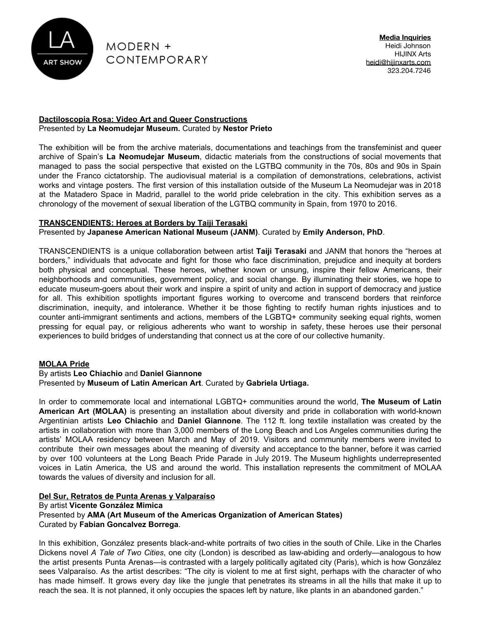

### **Dactiloscopia Rosa: Video Art and Queer Constructions** Presented by **La Neomudejar Museum.** Curated by **Nestor Prieto**

The exhibition will be from the archive materials, documentations and teachings from the transfeminist and queer archive of Spain's **La Neomudejar Museum**, didactic materials from the constructions of social movements that managed to pass the social perspective that existed on the LGTBQ community in the 70s, 80s and 90s in Spain under the Franco cictatorship. The audiovisual material is a compilation of demonstrations, celebrations, activist works and vintage posters. The first version of this installation outside of the Museum La Neomudejar was in 2018 at the Matadero Space in Madrid, parallel to the world pride celebration in the city. This exhibition serves as a chronology of the movement of sexual liberation of the LGTBQ community in Spain, from 1970 to 2016.

## **TRANSCENDIENTS: Heroes at Borders by Taiji Terasaki**

## Presented by **Japanese American National Museum (JANM)**. Curated by **Emily Anderson, PhD**.

TRANSCENDIENTS is a unique collaboration between artist **Taiji Terasaki** and JANM that honors the "heroes at borders," individuals that advocate and fight for those who face discrimination, prejudice and inequity at borders both physical and conceptual. These heroes, whether known or unsung, inspire their fellow Americans, their neighborhoods and communities, government policy, and social change. By illuminating their stories, we hope to educate museum-goers about their work and inspire a spirit of unity and action in support of democracy and justice for all. This exhibition spotlights important figures working to overcome and transcend borders that reinforce discrimination, inequity, and intolerance. Whether it be those fighting to rectify human rights injustices and to counter anti-immigrant sentiments and actions, members of the LGBTQ+ community seeking equal rights, women pressing for equal pay, or religious adherents who want to worship in safety, these heroes use their personal experiences to build bridges of understanding that connect us at the core of our collective humanity.

## **MOLAA Pride**

#### By artists **Leo Chiachio** and **Daniel Giannone** Presented by **Museum of Latin American Art**. Curated by **Gabriela Urtiaga.**

In order to commemorate local and international LGBTQ+ communities around the world, **The Museum of Latin American Art (MOLAA)** is presenting an installation about diversity and pride in collaboration with world-known Argentinian artists **Leo Chiachio** and **Daniel Giannone**. The 112 ft. long textile installation was created by the artists in collaboration with more than 3,000 members of the Long Beach and Los Angeles communities during the artists' MOLAA residency between March and May of 2019. Visitors and community members were invited to contribute their own messages about the meaning of diversity and acceptance to the banner, before it was carried by over 100 volunteers at the Long Beach Pride Parade in July 2019. The Museum highlights underrepresented voices in Latin America, the US and around the world. This installation represents the commitment of MOLAA towards the values of diversity and inclusion for all.

## **Del Sur, Retratos de Punta Arenas y Valparaíso**

By artist **Vicente González Mimica**

## Presented by **AMA (Art Museum of the Americas Organization of American States)** Curated by **Fabian Goncalvez Borrega**.

In this exhibition, González presents black-and-white portraits of two cities in the south of Chile. Like in the Charles Dickens novel *A Tale of Two Cities*, one city (London) is described as law-abiding and orderly—analogous to how the artist presents Punta Arenas—is contrasted with a largely politically agitated city (Paris), which is how González sees Valparaíso. As the artist describes: "The city is violent to me at first sight, perhaps with the character of who has made himself. It grows every day like the jungle that penetrates its streams in all the hills that make it up to reach the sea. It is not planned, it only occupies the spaces left by nature, like plants in an abandoned garden."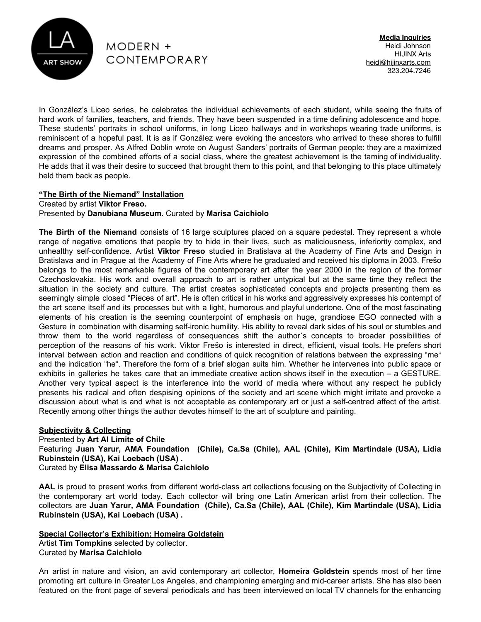

**Media Inquiries** Heidi Johnson HIJINX Arts [heidi@hijinxarts.com](mailto:heidi@thinkhijinx.com) 323.204.7246

In González's Liceo series, he celebrates the individual achievements of each student, while seeing the fruits of hard work of families, teachers, and friends. They have been suspended in a time defining adolescence and hope. These students' portraits in school uniforms, in long Liceo hallways and in workshops wearing trade uniforms, is reminiscent of a hopeful past. It is as if González were evoking the ancestors who arrived to these shores to fulfill dreams and prosper. As Alfred Doblin wrote on August Sanders' portraits of German people: they are a maximized expression of the combined efforts of a social class, where the greatest achievement is the taming of individuality. He adds that it was their desire to succeed that brought them to this point, and that belonging to this place ultimately held them back as people.

## **"The Birth of the Niemand" Installation**

Created by artist **Viktor Freso.**

#### Presented by **Danubiana Museum**. Curated by **Marisa Caichiolo**

**The Birth of the Niemand** consists of 16 large sculptures placed on a square pedestal. They represent a whole range of negative emotions that people try to hide in their lives, such as maliciousness, inferiority complex, and unhealthy self-confidence. Artist **Viktor Freso** studied in Bratislava at the Academy of Fine Arts and Design in Bratislava and in Prague at the Academy of Fine Arts where he graduated and received his diploma in 2003. Frešo belongs to the most remarkable figures of the contemporary art after the year 2000 in the region of the former Czechoslovakia. His work and overall approach to art is rather untypical but at the same time they reflect the situation in the society and culture. The artist creates sophisticated concepts and projects presenting them as seemingly simple closed "Pieces of art". He is often critical in his works and aggressively expresses his contempt of the art scene itself and its processes but with a light, humorous and playful undertone. One of the most fascinating elements of his creation is the seeming counterpoint of emphasis on huge, grandiose EGO connected with a Gesture in combination with disarming self-ironic humility. His ability to reveal dark sides of his soul or stumbles and throw them to the world regardless of consequences shift the author´s concepts to broader possibilities of perception of the reasons of his work. Viktor Frešo is interested in direct, efficient, visual tools. He prefers short interval between action and reaction and conditions of quick recognition of relations between the expressing "me" and the indication "he". Therefore the form of a brief slogan suits him. Whether he intervenes into public space or exhibits in galleries he takes care that an immediate creative action shows itself in the execution – a GESTURE. Another very typical aspect is the interference into the world of media where without any respect he publicly presents his radical and often despising opinions of the society and art scene which might irritate and provoke a discussion about what is and what is not acceptable as contemporary art or just a self-centred affect of the artist. Recently among other things the author devotes himself to the art of sculpture and painting.

**Subjectivity & Collecting** Presented by **Art Al Limite of Chile** Featuring **Juan Yarur, AMA Foundation (Chile), Ca.Sa (Chile), AAL (Chile), Kim Martindale (USA), Lidia Rubinstein (USA), Kai Loebach (USA) .** Curated by **Elisa Massardo & Marisa Caichiolo**

**AAL** is proud to present works from different world-class art collections focusing on the Subjectivity of Collecting in the contemporary art world today. Each collector will bring one Latin American artist from their collection. The collectors are **Juan Yarur, AMA Foundation (Chile), Ca.Sa (Chile), AAL (Chile), Kim Martindale (USA), Lidia Rubinstein (USA), Kai Loebach (USA) .**

**Special Collector's Exhibition: Homeira Goldstein** Artist **Tim Tompkins** selected by collector. Curated by **Marisa Caichiolo**

An artist in nature and vision, an avid contemporary art collector, **Homeira Goldstein** spends most of her time promoting art culture in Greater Los Angeles, and championing emerging and mid-career artists. She has also been featured on the front page of several periodicals and has been interviewed on local TV channels for the enhancing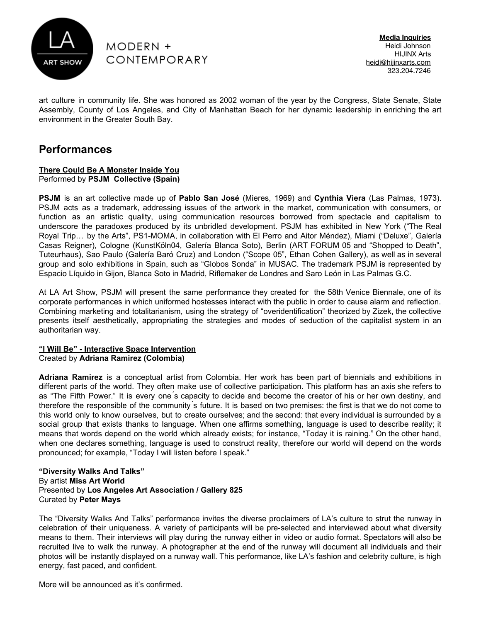

**Media Inquiries** Heidi Johnson HIJINX Arts [heidi@hijinxarts.com](mailto:heidi@thinkhijinx.com) 323.204.7246

art culture in community life. She was honored as 2002 woman of the year by the Congress, State Senate, State Assembly, County of Los Angeles, and City of Manhattan Beach for her dynamic leadership in enriching the art environment in the Greater South Bay.

# **Performances**

#### **There Could Be A Monster Inside You** Performed by **PSJM Collective (Spain)**

**PSJM** is an art collective made up of **Pablo San José** (Mieres, 1969) and **Cynthia Viera** (Las Palmas, 1973). PSJM acts as a trademark, addressing issues of the artwork in the market, communication with consumers, or function as an artistic quality, using communication resources borrowed from spectacle and capitalism to underscore the paradoxes produced by its unbridled development. PSJM has exhibited in New York ("The Real Royal Trip… by the Arts", PS1-MOMA, in collaboration with El Perro and Aitor Méndez), Miami ("Deluxe", Galería Casas Reigner), Cologne (KunstKöln04, Galería Blanca Soto), Berlin (ART FORUM 05 and "Shopped to Death", Tuteurhaus), Sao Paulo (Galería Baró Cruz) and London ("Scope 05", Ethan Cohen Gallery), as well as in several group and solo exhibitions in Spain, such as "Globos Sonda" in MUSAC. The trademark PSJM is represented by Espacio Líquido in Gijon, Blanca Soto in Madrid, Riflemaker de Londres and Saro León in Las Palmas G.C.

At LA Art Show, PSJM will present the same performance they created for the 58th Venice Biennale, one of its corporate performances in which uniformed hostesses interact with the public in order to cause alarm and reflection. Combining marketing and totalitarianism, using the strategy of "overidentification" theorized by Zizek, the collective presents itself aesthetically, appropriating the strategies and modes of seduction of the capitalist system in an authoritarian way.

#### **"I Will Be" - Interactive Space Intervention** Created by **Adriana Ramirez (Colombia)**

**Adriana Ramirez** is a conceptual artist from Colombia. Her work has been part of biennials and exhibitions in different parts of the world. They often make use of collective participation. This platform has an axis she refers to as "The Fifth Power." It is every one ́s capacity to decide and become the creator of his or her own destiny, and therefore the responsible of the community ́s future. It is based on two premises: the first is that we do not come to this world only to know ourselves, but to create ourselves; and the second: that every individual is surrounded by a social group that exists thanks to language. When one affirms something, language is used to describe reality; it means that words depend on the world which already exists; for instance, "Today it is raining." On the other hand, when one declares something, language is used to construct reality, therefore our world will depend on the words pronounced; for example, "Today I will listen before I speak."

#### **"Diversity Walks And Talks"** By artist **Miss Art World** Presented by **Los Angeles Art Association / Gallery 825** Curated by **Peter Mays**

The "Diversity Walks And Talks" performance invites the diverse proclaimers of LA's culture to strut the runway in celebration of their uniqueness. A variety of participants will be pre-selected and interviewed about what diversity means to them. Their interviews will play during the runway either in video or audio format. Spectators will also be recruited live to walk the runway. A photographer at the end of the runway will document all individuals and their photos will be instantly displayed on a runway wall. This performance, like LA's fashion and celebrity culture, is high energy, fast paced, and confident.

More will be announced as it's confirmed.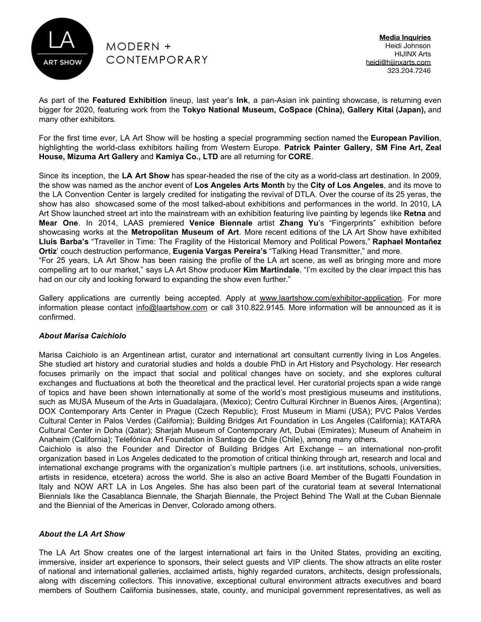

had on our city and looking forward to expanding the show even further."

**Media Inquiries** Heidi Johnson HIJINX Arts [heidi@hijinxarts.com](mailto:heidi@thinkhijinx.com) 323.204.7246

As part of the **Featured Exhibition** lineup, last year's **Ink**, a pan-Asian ink painting showcase, is returning even bigger for 2020, featuring work from the **Tokyo National Museum, CoSpace (China), Gallery Kitai (Japan),** and many other exhibitors.

For the first time ever, LA Art Show will be hosting a special programming section named the **European Pavilion**, highlighting the world-class exhibitors hailing from Western Europe. **Patrick Painter Gallery, SM Fine Art, Zeal House, Mizuma Art Gallery** and **Kamiya Co., LTD** are all returning for **CORE**.

Since its inception, the **LA Art Show** has spear-headed the rise of the city as a world-class art destination. In 2009, the show was named as the anchor event of **Los Angeles Arts Month** by the **City of Los Angeles**, and its move to the LA Convention Center is largely credited for instigating the revival of DTLA. Over the course of its 25 yeras, the show has also showcased some of the most talked-about exhibitions and performances in the world. In 2010, LA Art Show launched street art into the mainstream with an exhibition featuring live painting by legends like **Retna** and **Mear One**. In 2014, LAAS premiered **Venice Biennale** artist **Zhang Yu**'s "Fingerprints" exhibition before showcasing works at the **Metropolitan Museum of Art**. More recent editions of the LA Art Show have exhibited **Lluis Barba's** "Traveller in Time: The Fragility of the Historical Memory and Political Powers," **Raphael Montañez Ortiz**' couch destruction performance, **Eugenia Vargas Pereira's** "Talking Head Transmitter," and more. "For 25 years, LA Art Show has been raising the profile of the LA art scene, as well as bringing more and more compelling art to our market," says LA Art Show producer **Kim Martindale**. "I'm excited by the clear impact this has

Gallery applications are currently being accepted. Apply at [www.laartshow.com/exhibitor-application.](https://www.laartshow.com/exhibitor-application/) For more information please contact [info@laartshow.com](mailto:info@laartshow.com) or call 310.822.9145. More information will be announced as it is confirmed.

## *About Marisa Caichiolo*

Marisa Caichiolo is an Argentinean artist, curator and international art consultant currently living in Los Angeles. She studied art history and curatorial studies and holds a double PhD in Art History and Psychology. Her research focuses primarily on the impact that social and political changes have on society, and she explores cultural exchanges and fluctuations at both the theoretical and the practical level. Her curatorial projects span a wide range of topics and have been shown internationally at some of the world's most prestigious museums and institutions, such as MUSA Museum of the Arts in Guadalajara, (Mexico); Centro Cultural Kirchner in Buenos Aires, (Argentina); DOX Contemporary Arts Center in Prague (Czech Republic); Frost Museum in Miami (USA); PVC Palos Verdes Cultural Center in Palos Verdes (California); Building Bridges Art Foundation in Los Angeles (California); KATARA Cultural Center in Doha (Qatar); Sharjah Museum of Contemporary Art, Dubai (Emirates); Museum of Anaheim in Anaheim (California); Telefónica Art Foundation in Santiago de Chile (Chile), among many others.

Caichiolo is also the Founder and Director of Building Bridges Art Exchange – an international non-profit organization based in Los Angeles dedicated to the promotion of critical thinking through art, research and local and international exchange programs with the organization's multiple partners (i.e. art institutions, schools, universities, artists in residence, etcetera) across the world. She is also an active Board Member of the Bugatti Foundation in Italy and NOW ART LA in Los Angeles. She has also been part of the curatorial team at several International Biennials like the Casablanca Biennale, the Sharjah Biennale, the Project Behind The Wall at the Cuban Biennale and the Biennial of the Americas in Denver, Colorado among others.

#### *About the LA Art Show*

The LA Art Show creates one of the largest international art fairs in the United States, providing an exciting, immersive, insider art experience to sponsors, their select guests and VIP clients. The show attracts an elite roster of national and international galleries, acclaimed artists, highly regarded curators, architects, design professionals, along with discerning collectors. This innovative, exceptional cultural environment attracts executives and board members of Southern California businesses, state, county, and municipal government representatives, as well as